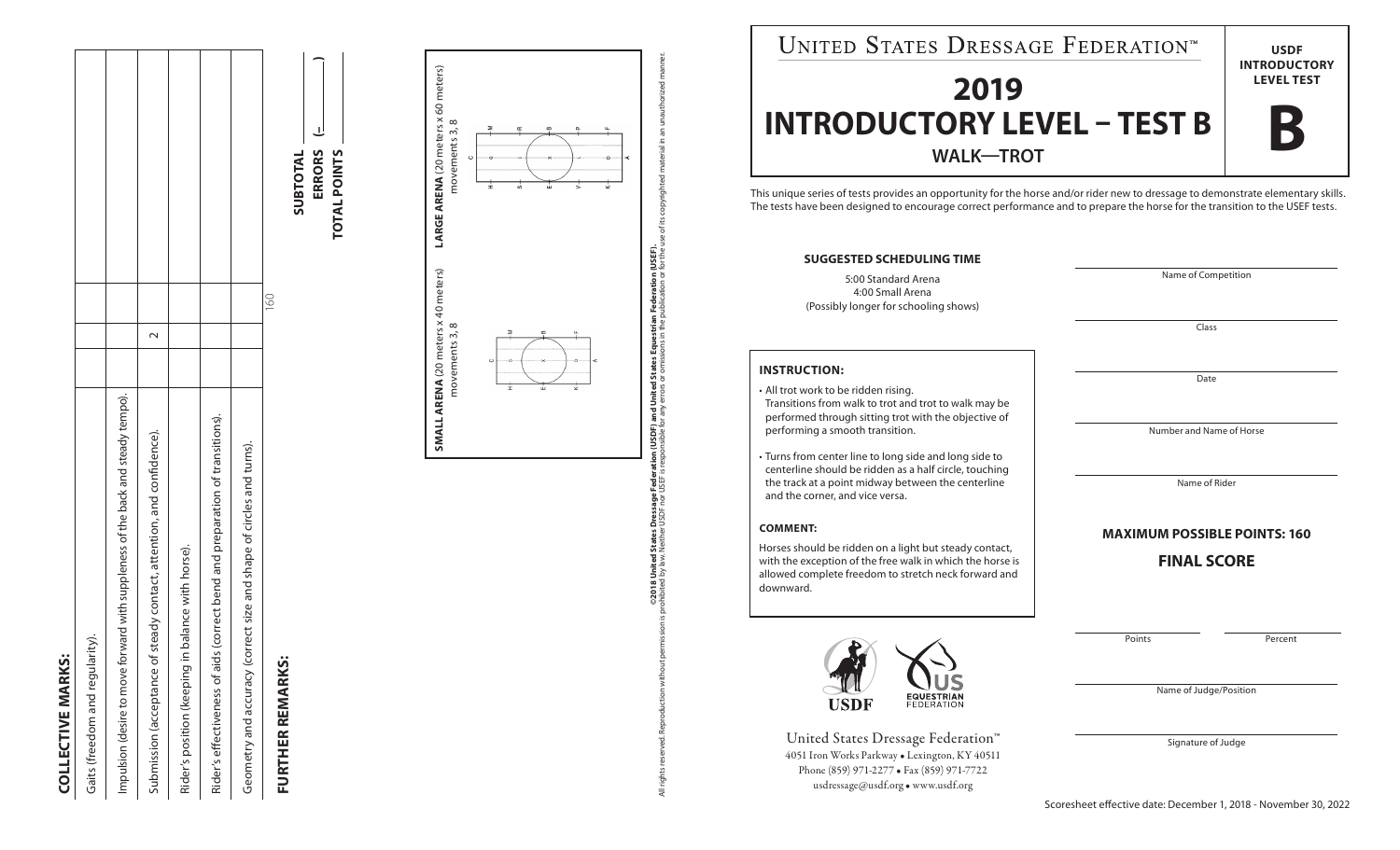| i<br>í                                                                                                                                   |  |
|------------------------------------------------------------------------------------------------------------------------------------------|--|
| p                                                                                                                                        |  |
| Ĩ<br>r                                                                                                                                   |  |
|                                                                                                                                          |  |
| Í                                                                                                                                        |  |
| ľ                                                                                                                                        |  |
| <b>Service Service</b>                                                                                                                   |  |
| and the state of the state of the state of the state of the state of the state of the state of the state of th<br><b>Service Service</b> |  |
|                                                                                                                                          |  |
| ι                                                                                                                                        |  |

| <b>COLLECTIVE MARK</b>                                                           |               |  |
|----------------------------------------------------------------------------------|---------------|--|
| Gaits (freedom and regularity).                                                  |               |  |
| Impulsion (desire to move forward with suppleness of the back and steady tempo). |               |  |
| Submission (acceptance of steady contact, attention, and confidence).            |               |  |
| in balance with horse).<br>Rider's position (keeping                             |               |  |
| Rider's effectiveness of aids (correct bend and preparation of transitions).     |               |  |
| Geometry and accuracy (correct size and shape of circles and turns).             |               |  |
|                                                                                  | $\frac{1}{2}$ |  |

## FURTHER REMARKS: **FURTHER REMARKS:**





All rights reserved. Reproduction without permission is prohibited by law. Neither USEP is responsible for any errors or omissions in the publication or for the use of its copyrighted material in an unauthorized manner. on (USDF) and United States Equestrian Federation (USEF).<br>sponsible for any errors or omissions in the publication or for the **©2018 United States Dressage Federation (USDF) and United States Equestrian Federation (USEF).** ©2018 United States Dressage Federa<br>hibited by law. Neither USDF nor USEF is